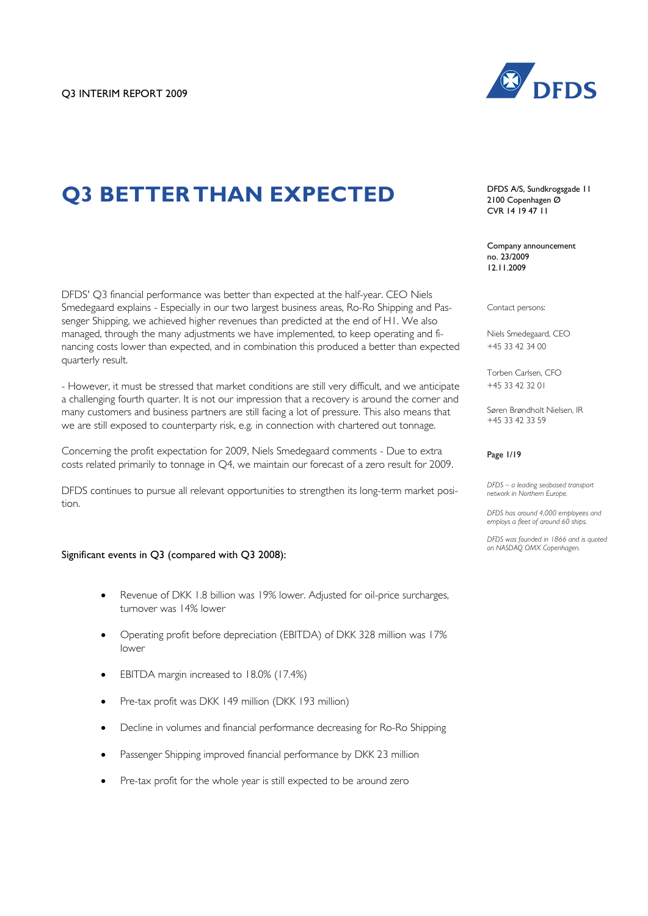

# **Q3 BETTER THAN EXPECTED**

DFDS' Q3 financial performance was better than expected at the half-year. CEO Niels Smedegaard explains - Especially in our two largest business areas, Ro-Ro Shipping and Passenger Shipping, we achieved higher revenues than predicted at the end of H1. We also managed, through the many adjustments we have implemented, to keep operating and financing costs lower than expected, and in combination this produced a better than expected quarterly result.

- However, it must be stressed that market conditions are still very difficult, and we anticipate a challenging fourth quarter. It is not our impression that a recovery is around the corner and many customers and business partners are still facing a lot of pressure. This also means that we are still exposed to counterparty risk, e.g. in connection with chartered out tonnage.

Concerning the profit expectation for 2009, Niels Smedegaard comments - Due to extra costs related primarily to tonnage in Q4, we maintain our forecast of a zero result for 2009.

DFDS continues to pursue all relevant opportunities to strengthen its long-term market position.

#### Significant events in Q3 (compared with Q3 2008):

- Revenue of DKK 1.8 billion was 19% lower. Adjusted for oil-price surcharges, turnover was 14% lower
- Operating profit before depreciation (EBITDA) of DKK 328 million was 17% lower
- EBITDA margin increased to 18.0% (17.4%)
- Pre-tax profit was DKK 149 million (DKK 193 million)
- Decline in volumes and financial performance decreasing for Ro-Ro Shipping
- Passenger Shipping improved financial performance by DKK 23 million
- Pre-tax profit for the whole year is still expected to be around zero

DFDS A/S, Sundkrogsgade 11 2100 Copenhagen Ø CVR 14 19 47 11

Company announcement no. 23/2009 12.11.2009

Contact persons:

Niels Smedegaard, CEO +45 33 42 34 00

Torben Carlsen, CFO +45 33 42 32 01

Søren Brøndholt Nielsen, IR +45 33 42 33 59

#### Page 1/19

*DFDS – a leading seabased transport network in Northern Europe.* 

*DFDS has around 4,000 employees and employs a fleet of around 60 ships.*

*DFDS was founded in 1866 and is quoted on NASDAQ OMX Copenhagen.*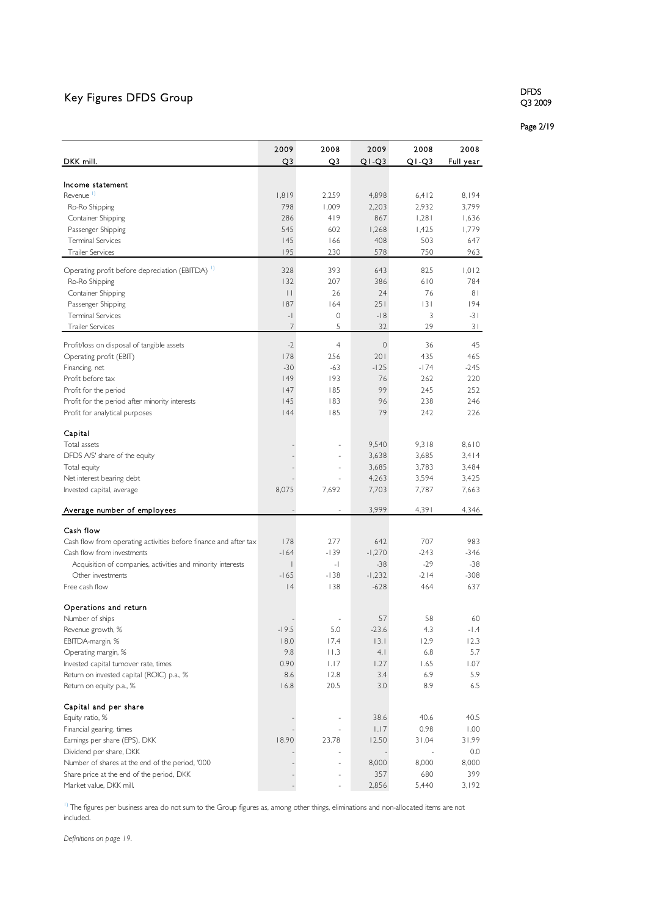## Key Figures DFDS Group

#### DFDS Q3 2009

Page 2/19

|                                                                  | 2009            | 2008           | 2009        | 2008    | 2008      |
|------------------------------------------------------------------|-----------------|----------------|-------------|---------|-----------|
| DKK mill.                                                        | Q3              | Q3             | QI-Q3       | $Q1-Q3$ | Full year |
|                                                                  |                 |                |             |         |           |
| Income statement                                                 |                 |                |             |         |           |
| Revenue <sup>1)</sup>                                            | 1,819           | 2.259          | 4,898       | 6,412   | 8,194     |
| Ro-Ro Shipping                                                   | 798             | 1,009          | 2,203       | 2,932   | 3,799     |
| Container Shipping                                               | 286             | 419            | 867         | 1,281   | 1,636     |
| Passenger Shipping                                               | 545             | 602            | 1,268       | 1,425   | 1,779     |
| <b>Terminal Services</b>                                         | 145             | 166            | 408         | 503     | 647       |
| <b>Trailer Services</b>                                          | 195             | 230            | 578         | 750     | 963       |
| Operating profit before depreciation (EBITDA) <sup>1)</sup>      | 328             | 393            | 643         | 825     | 1,012     |
| Ro-Ro Shipping                                                   | 132             | 207            | 386         | 610     | 784       |
| Container Shipping                                               | $\vert \ \vert$ | 26             | 24          | 76      | 81        |
| Passenger Shipping                                               | 187             | 164            | 251         | 3       | 194       |
| <b>Terminal Services</b>                                         | $-$             | 0              | $-18$       | 3       | $-31$     |
| <b>Trailer Services</b>                                          | 7               | 5              | 32          | 29      | 31        |
| Profit/loss on disposal of tangible assets                       | $-2$            | $\overline{4}$ | $\mathbf 0$ | 36      | 45        |
| Operating profit (EBIT)                                          | 178             | 256            | 201         | 435     | 465       |
| Financing, net                                                   | $-30$           | $-63$          | $-125$      | $-174$  | $-245$    |
| Profit before tax                                                | 149             | 193            | 76          | 262     | 220       |
| Profit for the period                                            | 147             | 185            | 99          | 245     | 252       |
| Profit for the period after minority interests                   | 145             | 183            | 96          | 238     | 246       |
| Profit for analytical purposes                                   | 44              | 185            | 79          | 242     | 226       |
|                                                                  |                 |                |             |         |           |
| Capital                                                          |                 |                |             |         |           |
| Total assets                                                     |                 |                | 9,540       | 9,318   | 8,610     |
| DFDS A/S' share of the equity                                    |                 |                | 3,638       | 3,685   | 3,414     |
| Total equity                                                     |                 |                | 3,685       | 3,783   | 3,484     |
| Net interest bearing debt                                        |                 |                | 4,263       | 3,594   | 3,425     |
| Invested capital, average                                        | 8,075           | 7,692          | 7,703       | 7,787   | 7,663     |
| Average number of employees                                      |                 |                | 3,999       | 4,391   | 4,346     |
|                                                                  |                 |                |             |         |           |
| Cash flow                                                        |                 |                |             |         |           |
| Cash flow from operating activities before finance and after tax | 178             | 277            | 642         | 707     | 983       |
| Cash flow from investments                                       | $-164$          | $-139$         | $-1,270$    | $-243$  | $-346$    |
| Acquisition of companies, activities and minority interests      |                 | $-$            | $-38$       | $-29$   | $-38$     |
| Other investments                                                | $-165$          | $-138$         | $-1,232$    | $-214$  | $-308$    |
| Free cash flow                                                   | 4               | 138            | $-628$      | 464     | 637       |
| Operations and return                                            |                 |                |             |         |           |
| Number of ships                                                  |                 |                | 57          | 58      | 60        |
| Revenue growth, %                                                | $-19.5$         | 5.0            | $-23.6$     | 4.3     | $-1.4$    |
| EBITDA-margin, %                                                 | 18.0            | 17.4           | 3.1         | 12.9    | 12.3      |
| Operating margin, %                                              | 9.8             | 11.3           | 4.1         | 6.8     | 5.7       |
| Invested capital turnover rate, times                            | 0.90            | 1.17           | 1.27        | 1.65    | 1.07      |
| Return on invested capital (ROIC) p.a., %                        | 8.6             | 12.8           | 3.4         | 6.9     | 5.9       |
| Return on equity p.a., %                                         | 16.8            | 20.5           | 3.0         | 8.9     | 6.5       |
|                                                                  |                 |                |             |         |           |
| Capital and per share                                            |                 |                |             |         |           |
| Equity ratio, %                                                  |                 |                | 38.6        | 40.6    | 40.5      |
| Financial gearing, times                                         |                 |                | 1.17        | 0.98    | 1.00      |
| Earnings per share (EPS), DKK                                    | 18.90           | 23.78          | 12.50       | 31.04   | 31.99     |
| Dividend per share, DKK                                          |                 |                |             |         | 0.0       |
| Number of shares at the end of the period, '000                  |                 | ÷,             | 8,000       | 8,000   | 8,000     |
| Share price at the end of the period, DKK                        |                 |                | 357         | 680     | 399       |
| Market value, DKK mill.                                          |                 |                | 2,856       | 5,440   | 3,192     |

<sup>1)</sup> The figures per business area do not sum to the Group figures as, among other things, eliminations and non-allocated items are not included.

*Definitions on page 19.*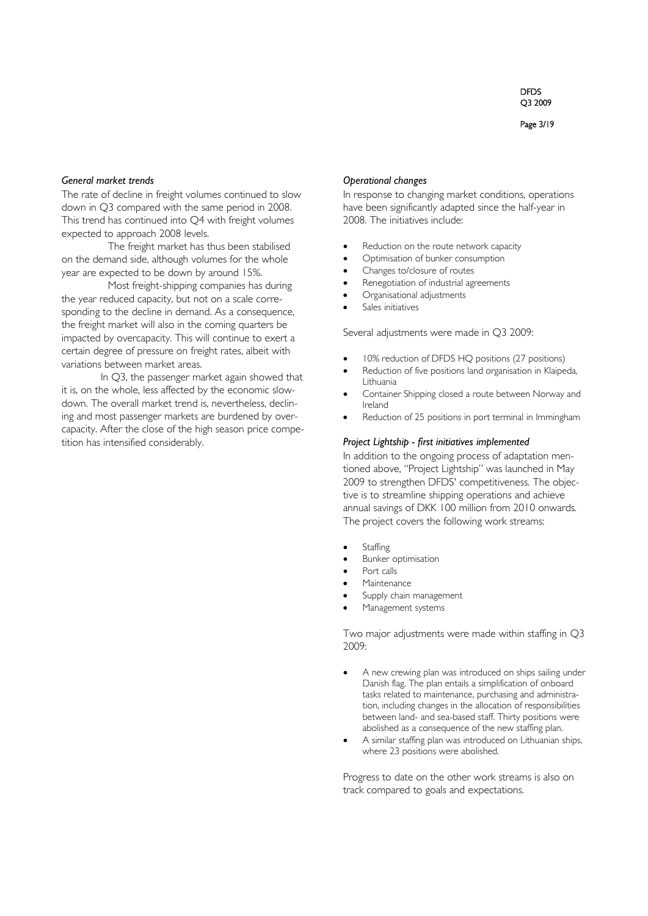Page 3/19

#### *General market trends*

The rate of decline in freight volumes continued to slow down in Q3 compared with the same period in 2008. This trend has continued into Q4 with freight volumes expected to approach 2008 levels.

The freight market has thus been stabilised on the demand side, although volumes for the whole year are expected to be down by around 15%.

Most freight-shipping companies has during the year reduced capacity, but not on a scale corresponding to the decline in demand. As a consequence, the freight market will also in the coming quarters be impacted by overcapacity. This will continue to exert a certain degree of pressure on freight rates, albeit with variations between market areas.

In Q3, the passenger market again showed that it is, on the whole, less affected by the economic slowdown. The overall market trend is, nevertheless, declining and most passenger markets are burdened by overcapacity. After the close of the high season price competition has intensified considerably.

#### *Operational changes*

In response to changing market conditions, operations have been significantly adapted since the half-year in 2008. The initiatives include:

- Reduction on the route network capacity
- Optimisation of bunker consumption
- Changes to/closure of routes
- Renegotiation of industrial agreements
- Organisational adjustments
- Sales initiatives

Several adjustments were made in Q3 2009:

- 10% reduction of DFDS HQ positions (27 positions)
- Reduction of five positions land organisation in Klaipeda, Lithuania
- Container Shipping closed a route between Norway and Ireland
- Reduction of 25 positions in port terminal in Immingham

#### *Project Lightship - first initiatives implemented*

In addition to the ongoing process of adaptation mentioned above, "Project Lightship" was launched in May 2009 to strengthen DFDS' competitiveness. The objective is to streamline shipping operations and achieve annual savings of DKK 100 million from 2010 onwards. The project covers the following work streams:

- **Staffing**
- Bunker optimisation
- Port calls
- **Maintenance**
- Supply chain management
- Management systems

Two major adjustments were made within staffing in Q3 2009:

- A new crewing plan was introduced on ships sailing under Danish flag. The plan entails a simplification of onboard tasks related to maintenance, purchasing and administration, including changes in the allocation of responsibilities between land- and sea-based staff. Thirty positions were abolished as a consequence of the new staffing plan.
- A similar staffing plan was introduced on Lithuanian ships, where 23 positions were abolished.

Progress to date on the other work streams is also on track compared to goals and expectations.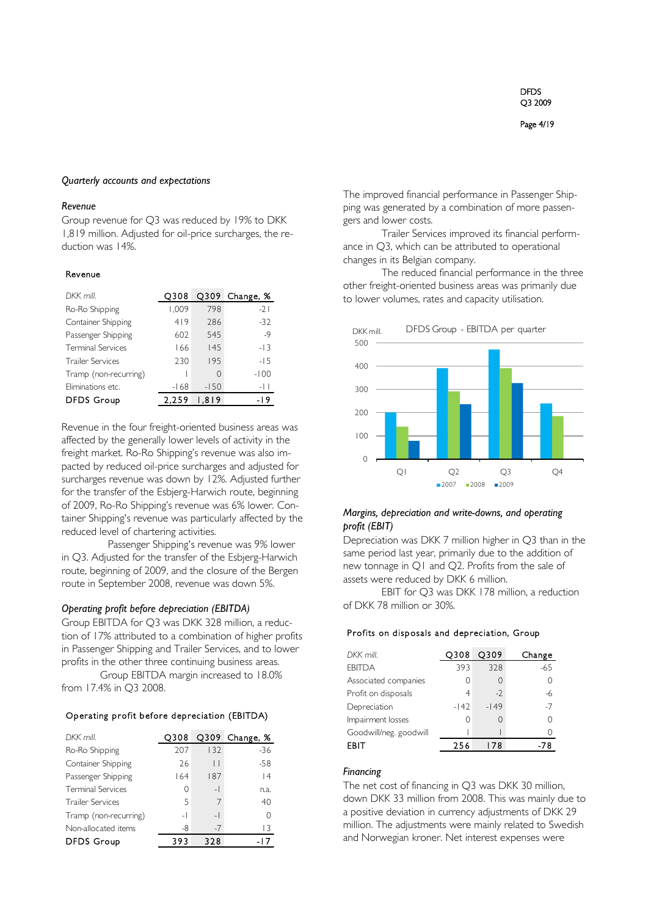#### Page 4/19

#### *Quarterly accounts and expectations*

#### *Revenue*

Group revenue for Q3 was reduced by 19% to DKK 1,819 million. Adjusted for oil-price surcharges, the reduction was 14%.

#### Revenue

| DKK mill.                | O308   | $Q$ 309 | Change, % |
|--------------------------|--------|---------|-----------|
| Ro-Ro Shipping           | 1,009  | 798     | $-21$     |
| Container Shipping       | 419    | 286     | $-32$     |
| Passenger Shipping       | 602    | 545     | $-9$      |
| <b>Terminal Services</b> | 166    | 145     | $-13$     |
| <b>Trailer Services</b>  | 230    | 195     | $-15$     |
| Tramp (non-recurring)    |        | 0       | $-100$    |
| Eliminations etc.        | $-168$ | $-150$  | -11       |
| <b>DFDS Group</b>        | 2.259  | .819    | -19       |

Revenue in the four freight-oriented business areas was affected by the generally lower levels of activity in the freight market. Ro-Ro Shipping's revenue was also impacted by reduced oil-price surcharges and adjusted for surcharges revenue was down by 12%. Adjusted further for the transfer of the Esbjerg-Harwich route, beginning of 2009, Ro-Ro Shipping's revenue was 6% lower. Container Shipping's revenue was particularly affected by the reduced level of chartering activities.

Passenger Shipping's revenue was 9% lower in Q3. Adjusted for the transfer of the Esbjerg-Harwich route, beginning of 2009, and the closure of the Bergen route in September 2008, revenue was down 5%.

#### *Operating profit before depreciation (EBITDA)*

Group EBITDA for Q3 was DKK 328 million, a reduction of 17% attributed to a combination of higher profits in Passenger Shipping and Trailer Services, and to lower profits in the other three continuing business areas.

Group EBITDA margin increased to 18.0% from 17.4% in Q3 2008.

#### Operating profit before depreciation (EBITDA)

| DKK mill.                | O308                     |                          | Q309 Change, % |
|--------------------------|--------------------------|--------------------------|----------------|
| Ro-Ro Shipping           | 207                      | 132                      | $-36$          |
| Container Shipping       | 26                       | $\vert \ \vert$          | $-58$          |
| Passenger Shipping       | 164                      | 187                      | 4              |
| <b>Terminal Services</b> | Λ                        | $\overline{\phantom{0}}$ | n.a.           |
| <b>Trailer Services</b>  | 5                        |                          | 40             |
| Tramp (non-recurring)    | $\overline{\phantom{0}}$ | $\overline{a}$           | Ω              |
| Non-allocated items      | -8                       | $-7$                     | 13             |
| <b>DFDS Group</b>        | 393                      | 328                      |                |

The improved financial performance in Passenger Shipping was generated by a combination of more passengers and lower costs.

Trailer Services improved its financial performance in Q3, which can be attributed to operational changes in its Belgian company.

The reduced financial performance in the three other freight-oriented business areas was primarily due to lower volumes, rates and capacity utilisation.



#### *Margins, depreciation and write-downs, and operating profit (EBIT)*

Depreciation was DKK 7 million higher in Q3 than in the same period last year, primarily due to the addition of new tonnage in Q1 and Q2. Profits from the sale of assets were reduced by DKK 6 million.

EBIT for Q3 was DKK 178 million, a reduction of DKK 78 million or 30%.

#### Profits on disposals and depreciation, Group

| DKK mill.              | O308   | O309   | Change |
|------------------------|--------|--------|--------|
| <b>FBITDA</b>          | 393    | 328    | $-65$  |
| Associated companies   |        | U      |        |
| Profit on disposals    | 4      | $-2$   | -6     |
| Depreciation           | $-142$ | $-149$ | -7     |
| Impairment losses      |        | Λ      |        |
| Goodwill/neg. goodwill |        |        |        |
| FBIT                   | 256    | 178    | 78     |

#### *Financing*

The net cost of financing in Q3 was DKK 30 million, down DKK 33 million from 2008. This was mainly due to a positive deviation in currency adjustments of DKK 29 million. The adjustments were mainly related to Swedish and Norwegian kroner. Net interest expenses were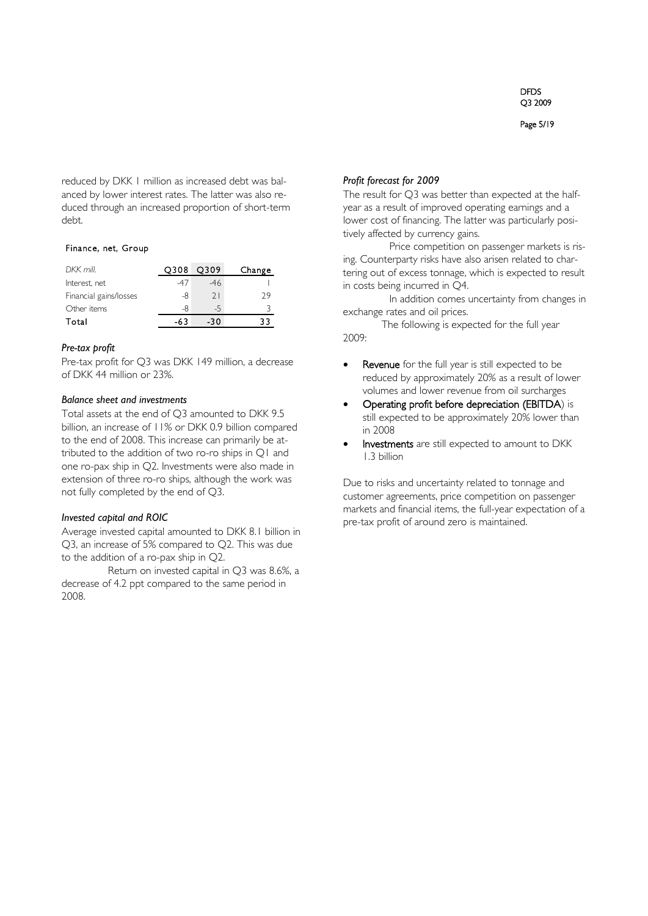Page 5/19

reduced by DKK 1 million as increased debt was balanced by lower interest rates. The latter was also reduced through an increased proportion of short-term debt.

#### Finance, net, Group

| DKK mill.              | O308 | O309 | Change |
|------------------------|------|------|--------|
| Interest, net          | -47  | -46  |        |
| Financial gains/losses | -8   | 21   | 29     |
| Other items            | -8   | -5   |        |
| Total                  | -63  | -30  |        |

#### *Pre-tax profit*

Pre-tax profit for Q3 was DKK 149 million, a decrease of DKK 44 million or 23%.

#### *Balance sheet and investments*

Total assets at the end of Q3 amounted to DKK 9.5 billion, an increase of 11% or DKK 0.9 billion compared to the end of 2008. This increase can primarily be attributed to the addition of two ro-ro ships in Q1 and one ro-pax ship in Q2. Investments were also made in extension of three ro-ro ships, although the work was not fully completed by the end of Q3.

#### *Invested capital and ROIC*

Average invested capital amounted to DKK 8.1 billion in Q3, an increase of 5% compared to Q2. This was due to the addition of a ro-pax ship in Q2.

Return on invested capital in Q3 was 8.6%, a decrease of 4.2 ppt compared to the same period in 2008.

#### *Profit forecast for 2009*

The result for Q3 was better than expected at the halfyear as a result of improved operating earnings and a lower cost of financing. The latter was particularly positively affected by currency gains.

Price competition on passenger markets is rising. Counterparty risks have also arisen related to chartering out of excess tonnage, which is expected to result in costs being incurred in Q4.

In addition comes uncertainty from changes in exchange rates and oil prices.

The following is expected for the full year 2009:

- Revenue for the full year is still expected to be reduced by approximately 20% as a result of lower volumes and lower revenue from oil surcharges
- Operating profit before depreciation (EBITDA) is still expected to be approximately 20% lower than in 2008
- Investments are still expected to amount to DKK 1.3 billion

Due to risks and uncertainty related to tonnage and customer agreements, price competition on passenger markets and financial items, the full-year expectation of a pre-tax profit of around zero is maintained.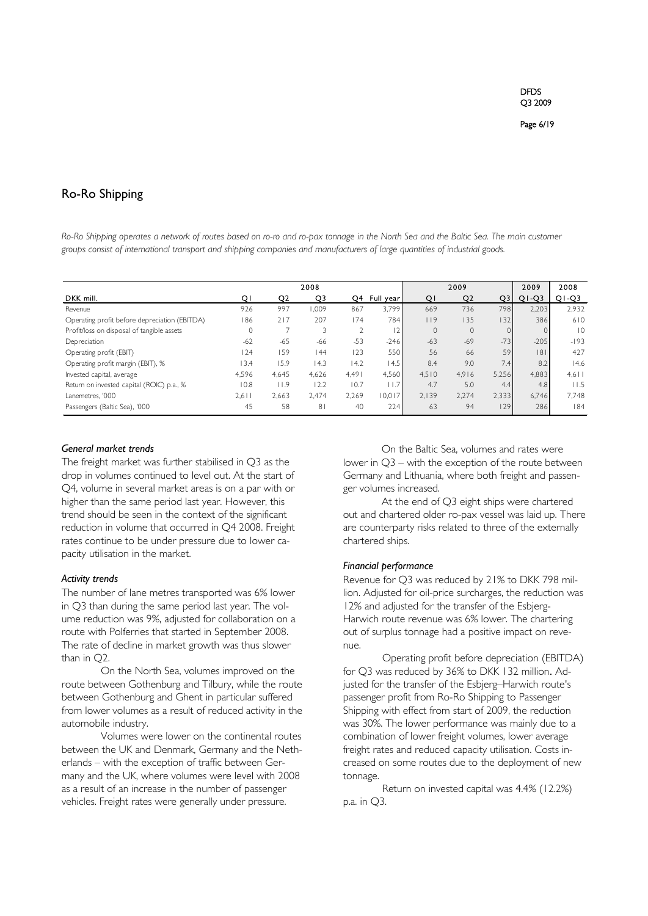### Ro-Ro Shipping

*Ro-Ro Shipping operates a network of routes based on ro-ro and ro-pax tonnage in the North Sea and the Baltic Sea. The main customer groups consist of international transport and shipping companies and manufacturers of large quantities of industrial goods.*

|                                               |         |       | 2008           |       |           |              | 2009           |       | 2009    | 2008           |
|-----------------------------------------------|---------|-------|----------------|-------|-----------|--------------|----------------|-------|---------|----------------|
| DKK mill.                                     | Q١      | Q2    | Q3             | Q4    | Full year | QI           | Q <sub>2</sub> | Q3    | $Q1-Q3$ | $Q1-Q3$        |
| Revenue                                       | 926     | 997   | .009           | 867   | 3.799     | 669          | 736            | 798   | 2.203   | 2.932          |
| Operating profit before depreciation (EBITDA) | 186     | 217   | 207            | 174   | 784       | 119          | 135            | 32    | 386     | 610            |
| Profit/loss on disposal of tangible assets    | $\circ$ |       |                |       |           | $\mathbf{0}$ | $\mathbf{0}$   |       |         | $\overline{0}$ |
| Depreciation                                  | $-62$   | $-65$ | $-66$          | $-53$ | $-246$    | $-63$        | $-69$          | $-73$ | $-205$  | $-193$         |
| Operating profit (EBIT)                       | 124     | 159   | 44             | 123   | 550       | 56           | 66             | 59    | 8       | 427            |
| Operating profit margin (EBIT), %             | 13.4    | 15.9  | 14.3           | 14.2  | 4.5       | 8.4          | 9.0            | 7.4   | 8.2     | 14.6           |
| Invested capital, average                     | 4.596   | 4.645 | 4.626          | 4.491 | 4.560     | 4.510        | 4.916          | 5.256 | 4.883   | $4,6$          |
| Return on invested capital (ROIC) p.a., %     | 10.8    | l I.9 | 12.2           | 10.7  | 1.7       | 4.7          | 5.0            | 4.4   | 4.8     | 11.5           |
| Lanemetres. '000                              | 2.611   | 2.663 | 2.474          | 2.269 | 10.017    | 2.139        | 2.274          | 2.333 | 6.746   | 7.748          |
| Passengers (Baltic Sea), '000                 | 45      | 58    | 8 <sub>1</sub> | 40    | 224       | 63           | 94             | 129   | 286     | 184            |

#### *General market trends*

The freight market was further stabilised in Q3 as the drop in volumes continued to level out. At the start of Q4, volume in several market areas is on a par with or higher than the same period last year. However, this trend should be seen in the context of the significant reduction in volume that occurred in Q4 2008. Freight rates continue to be under pressure due to lower capacity utilisation in the market.

#### *Activity trends*

The number of lane metres transported was 6% lower in Q3 than during the same period last year. The volume reduction was 9%, adjusted for collaboration on a route with Polferries that started in September 2008. The rate of decline in market growth was thus slower than in Q2.

On the North Sea, volumes improved on the route between Gothenburg and Tilbury, while the route between Gothenburg and Ghent in particular suffered from lower volumes as a result of reduced activity in the automobile industry.

Volumes were lower on the continental routes between the UK and Denmark, Germany and the Netherlands – with the exception of traffic between Germany and the UK, where volumes were level with 2008 as a result of an increase in the number of passenger vehicles. Freight rates were generally under pressure.

On the Baltic Sea, volumes and rates were lower in Q3 – with the exception of the route between Germany and Lithuania, where both freight and passenger volumes increased.

At the end of Q3 eight ships were chartered out and chartered older ro-pax vessel was laid up. There are counterparty risks related to three of the externally chartered ships.

#### *Financial performance*

Revenue for Q3 was reduced by 21% to DKK 798 million. Adjusted for oil-price surcharges, the reduction was 12% and adjusted for the transfer of the Esbjerg-Harwich route revenue was 6% lower. The chartering out of surplus tonnage had a positive impact on revenue.

Operating profit before depreciation (EBITDA) for Q3 was reduced by 36% to DKK 132 million. Adjusted for the transfer of the Esbjerg–Harwich route's passenger profit from Ro-Ro Shipping to Passenger Shipping with effect from start of 2009, the reduction was 30%. The lower performance was mainly due to a combination of lower freight volumes, lower average freight rates and reduced capacity utilisation. Costs increased on some routes due to the deployment of new tonnage.

Return on invested capital was 4.4% (12.2%) p.a. in Q3.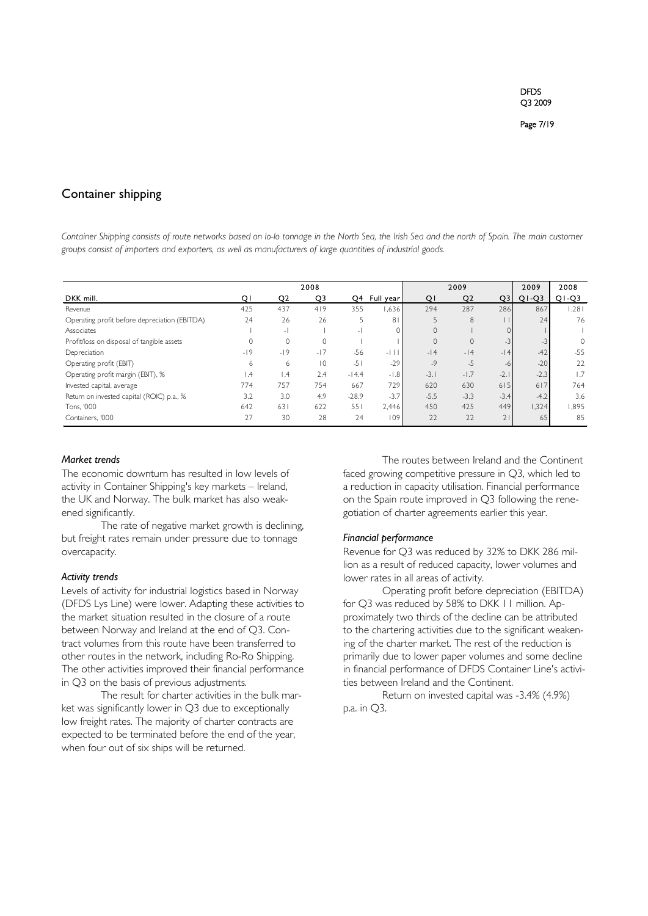#### Container shipping

*Container Shipping consists of route networks based on lo-lo tonnage in the North Sea, the Irish Sea and the north of Spain. The main customer groups consist of importers and exporters, as well as manufacturers of large quantities of industrial goods.*

|                                               |                 |                 | 2008           |                |                |          | 2009           |                | 2009    | 2008     |
|-----------------------------------------------|-----------------|-----------------|----------------|----------------|----------------|----------|----------------|----------------|---------|----------|
| DKK mill.                                     | Q١              | Q <sub>2</sub>  | Q3             | Q4             | Full year      | QI       | Q <sub>2</sub> | Q <sub>3</sub> | $Q1-Q3$ | $Q1-Q3$  |
| Revenue                                       | 425             | 437             | 419            | 355            | .636           | 294      | 287            | 286            | 867     | 1,281    |
| Operating profit before depreciation (EBITDA) | 24              | 26              | 26             | 5              | 8 <sup>1</sup> |          | 8              |                | 24      | 76       |
| Associates                                    |                 | $-1$            |                | $\overline{a}$ |                | $\Omega$ |                |                |         |          |
| Profit/loss on disposal of tangible assets    | $\Omega$        | $\Omega$        | $\Omega$       |                |                | $\Omega$ | $\mathbf{0}$   | $-3$           | $-3$    | $\Omega$ |
| Depreciation                                  | $-19$           | $-19$           | $-17$          | $-56$          | $-11$          | $-14$    | $-14$          | $-14$          | $-42$   | $-55$    |
| Operating profit (EBIT)                       | 6               | 6               | $\overline{0}$ | $-51$          | $-29$          | $-9$     | $-5$           | -6             | $-20$   | 22       |
| Operating profit margin (EBIT), %             | $\mathsf{I}$ .4 | $\mathsf{I}$ .4 | 2.4            | $-14.4$        | $-1.8$         | $-3.1$   | $-1.7$         | $-2.1$         | $-2.3$  | 1.7      |
| Invested capital, average                     | 774             | 757             | 754            | 667            | 729            | 620      | 630            | 615            | 617     | 764      |
| Return on invested capital (ROIC) p.a., %     | 3.2             | 3.0             | 4.9            | $-28.9$        | $-3.7$         | $-5.5$   | $-3.3$         | $-3.4$         | $-4.2$  | 3.6      |
| Tons, '000                                    | 642             | 631             | 622            | 551            | 2,446          | 450      | 425            | 449            | 1,324   | 1,895    |
| Containers, '000                              | 27              | 30              | 28             | 24             | 109            | 22       | 22             | 21             | 65      | 85       |

#### *Market trends*

The economic downturn has resulted in low levels of activity in Container Shipping's key markets – Ireland, the UK and Norway. The bulk market has also weakened significantly.

The rate of negative market growth is declining, but freight rates remain under pressure due to tonnage overcapacity.

#### *Activity trends*

Levels of activity for industrial logistics based in Norway (DFDS Lys Line) were lower. Adapting these activities to the market situation resulted in the closure of a route between Norway and Ireland at the end of Q3. Contract volumes from this route have been transferred to other routes in the network, including Ro-Ro Shipping. The other activities improved their financial performance in Q3 on the basis of previous adjustments.

The result for charter activities in the bulk market was significantly lower in Q3 due to exceptionally low freight rates. The majority of charter contracts are expected to be terminated before the end of the year, when four out of six ships will be returned.

The routes between Ireland and the Continent faced growing competitive pressure in Q3, which led to a reduction in capacity utilisation. Financial performance on the Spain route improved in Q3 following the renegotiation of charter agreements earlier this year.

#### *Financial performance*

Revenue for Q3 was reduced by 32% to DKK 286 million as a result of reduced capacity, lower volumes and lower rates in all areas of activity.

Operating profit before depreciation (EBITDA) for Q3 was reduced by 58% to DKK 11 million. Approximately two thirds of the decline can be attributed to the chartering activities due to the significant weakening of the charter market. The rest of the reduction is primarily due to lower paper volumes and some decline in financial performance of DFDS Container Line's activities between Ireland and the Continent.

Return on invested capital was -3.4% (4.9%) p.a. in Q3.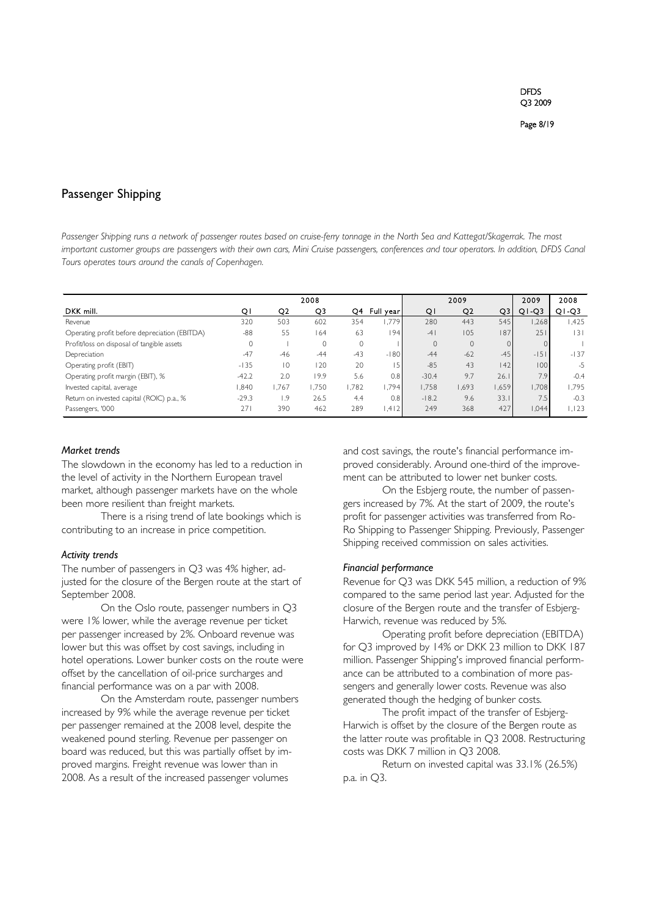#### Passenger Shipping

*Passenger Shipping runs a network of passenger routes based on cruise-ferry tonnage in the North Sea and Kattegat/Skagerrak. The most important customer groups are passengers with their own cars, Mini Cruise passengers, conferences and tour operators. In addition, DFDS Canal Tours operates tours around the canals of Copenhagen.*

|                                               |         |                | 2008     |       |           |         | 2009         |       | 2009    | 2008    |
|-----------------------------------------------|---------|----------------|----------|-------|-----------|---------|--------------|-------|---------|---------|
| DKK mill.                                     | Q١      | Q <sub>2</sub> | Q3       | Q4    | Full year | QI      | Q2           | Q3    | $Q1-Q3$ | $Q1-Q3$ |
| Revenue                                       | 320     | 503            | 602      | 354   | 1.779     | 280     | 443          | 545   | .268    | I.425   |
| Operating profit before depreciation (EBITDA) | $-88$   | 55             | 64       | 63    | 194       | $-4$    | 105          | 187   | 251     | 3       |
| Profit/loss on disposal of tangible assets    | $\circ$ |                | $\Omega$ | 0     |           | 0       | $\mathbf{0}$ |       |         |         |
| Depreciation                                  | $-47$   | $-46$          | $-44$    | $-43$ | $-180$    | $-44$   | $-62$        | $-45$ | $-151$  | $-137$  |
| Operating profit (EBIT)                       | $-135$  | $\overline{0}$ | 120      | 20    | 15        | $-85$   | 43           | 142   | 100     | $-5$    |
| Operating profit margin (EBIT), %             | $-42.2$ | 2.0            | 19.9     | 5.6   | 0.8       | $-30.4$ | 9.7          | 26.1  | 7.9     | $-0.4$  |
| Invested capital, average                     | .840    | 1.767          | 1.750    | 1,782 | 1.794     | 1.758   | 1,693        | .659  | 1.708   | 1.795   |
| Return on invested capital (ROIC) p.a., %     | $-29.3$ | 1.9            | 26.5     | 4.4   | 0.8       | $-18.2$ | 9.6          | 33.1  | 7.5     | $-0.3$  |
| Passengers, '000                              | 271     | 390            | 462      | 289   | 1.412     | 249     | 368          | 427   | 1,044   | 1,123   |

#### *Market trends*

The slowdown in the economy has led to a reduction in the level of activity in the Northern European travel market, although passenger markets have on the whole been more resilient than freight markets.

There is a rising trend of late bookings which is contributing to an increase in price competition.

#### *Activity trends*

The number of passengers in Q3 was 4% higher, adjusted for the closure of the Bergen route at the start of September 2008.

On the Oslo route, passenger numbers in Q3 were 1% lower, while the average revenue per ticket per passenger increased by 2%. Onboard revenue was lower but this was offset by cost savings, including in hotel operations. Lower bunker costs on the route were offset by the cancellation of oil-price surcharges and financial performance was on a par with 2008.

On the Amsterdam route, passenger numbers increased by 9% while the average revenue per ticket per passenger remained at the 2008 level, despite the weakened pound sterling. Revenue per passenger on board was reduced, but this was partially offset by improved margins. Freight revenue was lower than in 2008. As a result of the increased passenger volumes

and cost savings, the route's financial performance improved considerably. Around one-third of the improvement can be attributed to lower net bunker costs.

On the Esbjerg route, the number of passengers increased by 7%. At the start of 2009, the route's profit for passenger activities was transferred from Ro-Ro Shipping to Passenger Shipping. Previously, Passenger Shipping received commission on sales activities.

#### *Financial performance*

Revenue for Q3 was DKK 545 million, a reduction of 9% compared to the same period last year. Adjusted for the closure of the Bergen route and the transfer of Esbjerg-Harwich, revenue was reduced by 5%.

Operating profit before depreciation (EBITDA) for Q3 improved by 14% or DKK 23 million to DKK 187 million. Passenger Shipping's improved financial performance can be attributed to a combination of more passengers and generally lower costs. Revenue was also generated though the hedging of bunker costs.

The profit impact of the transfer of Esbjerg-Harwich is offset by the closure of the Bergen route as the latter route was profitable in Q3 2008. Restructuring costs was DKK 7 million in Q3 2008.

Return on invested capital was 33.1% (26.5%) p.a. in Q3.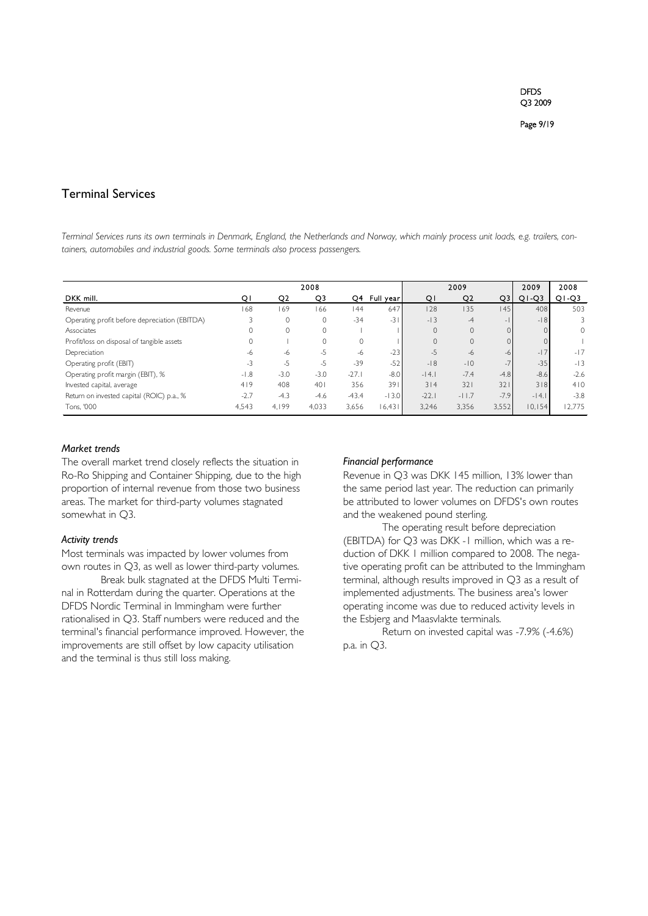#### Terminal Services

*Terminal Services runs its own terminals in Denmark, England, the Netherlands and Norway, which mainly process unit loads, e.g. trailers, containers, automobiles and industrial goods. Some terminals also process passengers.*

|                                               |        |        | 2008     |         |              |          | 2009           |                          | 2009    | 2008    |
|-----------------------------------------------|--------|--------|----------|---------|--------------|----------|----------------|--------------------------|---------|---------|
| DKK mill.                                     | Q١     | Q2     | Q3       |         | Q4 Full year | QI       | Q <sub>2</sub> | Q3                       | $Q1-Q3$ | $Q1-Q3$ |
| Revenue                                       | 168    | 169    | 166      | 44      | 647          | 128      | 135            | 145                      | 408     | 503     |
| Operating profit before depreciation (EBITDA) |        | 0      |          | $-34$   | $-31$        | $-13$    | $-4$           | $\overline{\phantom{a}}$ | $-18$   | 3       |
| Associates                                    |        | 0      | $\Omega$ |         |              | $\Omega$ | $\mathbf{0}$   |                          |         | $\circ$ |
| Profit/loss on disposal of tangible assets    |        |        | $\Omega$ | $\circ$ |              |          | $\mathbf{0}$   |                          |         |         |
| Depreciation                                  | -6     | -6     | -5       | $-6$    | $-23$        | $-5$     | -6             | -6                       | $-17$   | $-17$   |
| Operating profit (EBIT)                       | $-3$   | $-5$   | -5       | $-39$   | $-52$        | $-18$    | $-10$          |                          | $-35$   | $-13$   |
| Operating profit margin (EBIT), %             | $-1.8$ | $-3.0$ | $-3.0$   | $-27.1$ | $-8.0$       | $-14.1$  | $-7.4$         | $-4.8$                   | $-8.6$  | $-2.6$  |
| Invested capital, average                     | 419    | 408    | 401      | 356     | 391          | 314      | 32             | 321                      | 318     | 410     |
| Return on invested capital (ROIC) p.a., %     | $-2.7$ | $-4.3$ | $-4.6$   | $-43.4$ | $-13.0$      | $-22.1$  | $-11.7$        | $-7.9$                   | $-14.1$ | $-3.8$  |
| Tons, '000                                    | 4,543  | 4.199  | 4,033    | 3,656   | 16,431       | 3.246    | 3,356          | 3,552                    | 10,154  | 2,775   |

#### *Market trends*

The overall market trend closely reflects the situation in Ro-Ro Shipping and Container Shipping, due to the high proportion of internal revenue from those two business areas. The market for third-party volumes stagnated somewhat in Q3.

#### *Activity trends*

Most terminals was impacted by lower volumes from own routes in Q3, as well as lower third-party volumes.

Break bulk stagnated at the DFDS Multi Terminal in Rotterdam during the quarter. Operations at the DFDS Nordic Terminal in Immingham were further rationalised in Q3. Staff numbers were reduced and the terminal's financial performance improved. However, the improvements are still offset by low capacity utilisation and the terminal is thus still loss making.

#### *Financial performance*

Revenue in Q3 was DKK 145 million, 13% lower than the same period last year. The reduction can primarily be attributed to lower volumes on DFDS's own routes and the weakened pound sterling.

The operating result before depreciation (EBITDA) for Q3 was DKK -1 million, which was a reduction of DKK 1 million compared to 2008. The negative operating profit can be attributed to the Immingham terminal, although results improved in Q3 as a result of implemented adjustments. The business area's lower operating income was due to reduced activity levels in the Esbjerg and Maasvlakte terminals.

Return on invested capital was -7.9% (-4.6%) p.a. in Q3.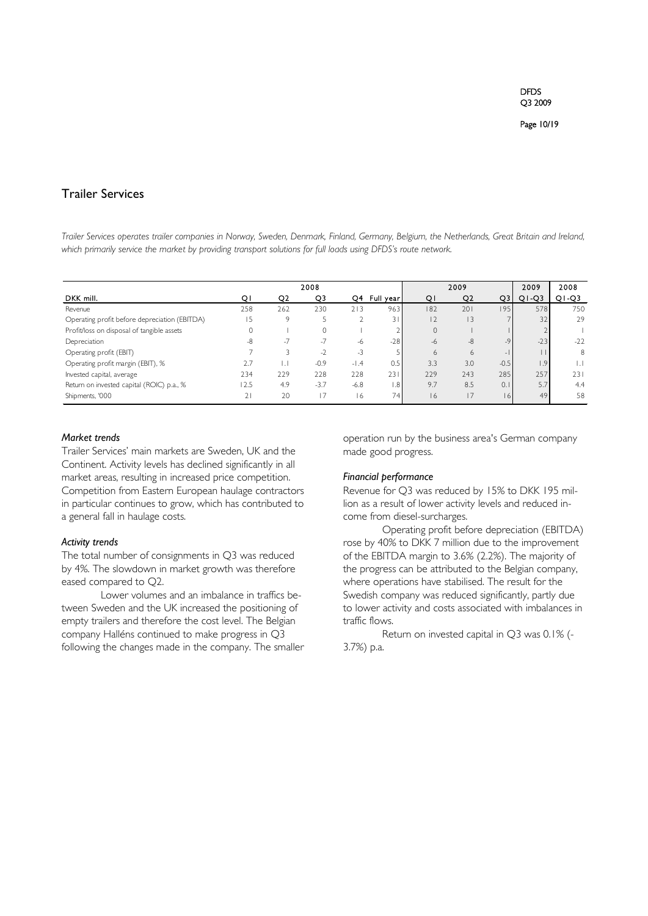#### Trailer Services

*Trailer Services operates trailer companies in Norway, Sweden, Denmark, Finland, Germany, Belgium, the Netherlands, Great Britain and Ireland, which primarily service the market by providing transport solutions for full loads using DFDS's route network.*

|                                               |                |      | 2008                     |        |                 |                | 2009           |        | 2009                | 2008    |
|-----------------------------------------------|----------------|------|--------------------------|--------|-----------------|----------------|----------------|--------|---------------------|---------|
| DKK mill.                                     | Q١             | Q2   | Q3                       | Q4     | Full year       | QI             | Q <sub>2</sub> | Q3     | $Q1-Q3$             | $Q1-Q3$ |
| Revenue                                       | 258            | 262  | 230                      | 213    | 963             | 182            | 201            | 195    | 578                 | 750     |
| Operating profit before depreciation (EBITDA) | 15             | 9    |                          |        | 31              | $\overline{2}$ | 13             |        | 32                  | 29      |
| Profit/loss on disposal of tangible assets    |                |      |                          |        |                 | $\mathbf{0}$   |                |        |                     |         |
| Depreciation                                  | -8             | $-7$ | $-1$                     | -6     | $-28$           | -6             | $-8$           | $-9$   | $-23$               | $-22$   |
| Operating profit (EBIT)                       |                |      | $\overline{\phantom{a}}$ | $-3$   |                 | <sub>b</sub>   | 6              |        |                     | 8       |
| Operating profit margin (EBIT), %             | 2.7            |      | $-0.9$                   | $-1.4$ | 0.5             | 3.3            | 3.0            | $-0.5$ | $\left[ .9 \right]$ |         |
| Invested capital, average                     | 234            | 229  | 228                      | 228    | 231             | 229            | 243            | 285    | 257                 | 231     |
| Return on invested capital (ROIC) p.a., %     | 12.5           | 4.9  | $-3.7$                   | $-6.8$ | .8              | 9.7            | 8.5            | 0.     | 5.7                 | 4.4     |
| Shipments, '000                               | $\overline{2}$ | 20   | 17                       | 16     | 74 <sub>1</sub> | 16             |                | 6      | 49                  | 58      |

#### *Market trends*

Trailer Services' main markets are Sweden, UK and the Continent. Activity levels has declined significantly in all market areas, resulting in increased price competition. Competition from Eastern European haulage contractors in particular continues to grow, which has contributed to a general fall in haulage costs.

#### *Activity trends*

The total number of consignments in Q3 was reduced by 4%. The slowdown in market growth was therefore eased compared to Q2.

Lower volumes and an imbalance in traffics between Sweden and the UK increased the positioning of empty trailers and therefore the cost level. The Belgian company Halléns continued to make progress in Q3 following the changes made in the company. The smaller operation run by the business area's German company made good progress.

#### *Financial performance*

Revenue for Q3 was reduced by 15% to DKK 195 million as a result of lower activity levels and reduced income from diesel-surcharges.

Operating profit before depreciation (EBITDA) rose by 40% to DKK 7 million due to the improvement of the EBITDA margin to 3.6% (2.2%). The majority of the progress can be attributed to the Belgian company, where operations have stabilised. The result for the Swedish company was reduced significantly, partly due to lower activity and costs associated with imbalances in traffic flows.

Return on invested capital in Q3 was 0.1% (- 3.7%) p.a.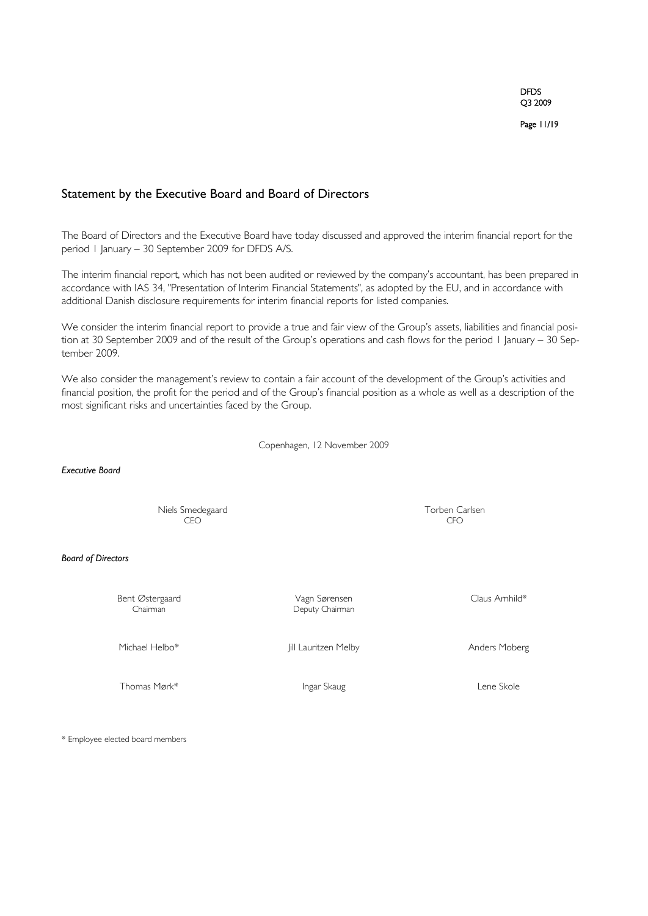Page 11/19

#### Statement by the Executive Board and Board of Directors

The Board of Directors and the Executive Board have today discussed and approved the interim financial report for the period 1 January – 30 September 2009 for DFDS A/S.

The interim financial report, which has not been audited or reviewed by the company's accountant, has been prepared in accordance with IAS 34, "Presentation of Interim Financial Statements", as adopted by the EU, and in accordance with additional Danish disclosure requirements for interim financial reports for listed companies.

We consider the interim financial report to provide a true and fair view of the Group's assets, liabilities and financial position at 30 September 2009 and of the result of the Group's operations and cash flows for the period 1 January – 30 September 2009.

We also consider the management's review to contain a fair account of the development of the Group's activities and financial position, the profit for the period and of the Group's financial position as a whole as well as a description of the most significant risks and uncertainties faced by the Group.

Copenhagen, 12 November 2009

#### *Executive Board*

Niels Smedegaard Torben Carlsen<br>CFO CO CEO CFO

#### *Board of Directors*

Bent Østergaard Vagn Sørensen Claus Arnhild\*

Deputy Chairman

Michael Helbo\* Jill Lauritzen Melby Anders Moberg

Thomas Mørk\* Ingar Skaug Lene Skole Lene Skole

\* Employee elected board members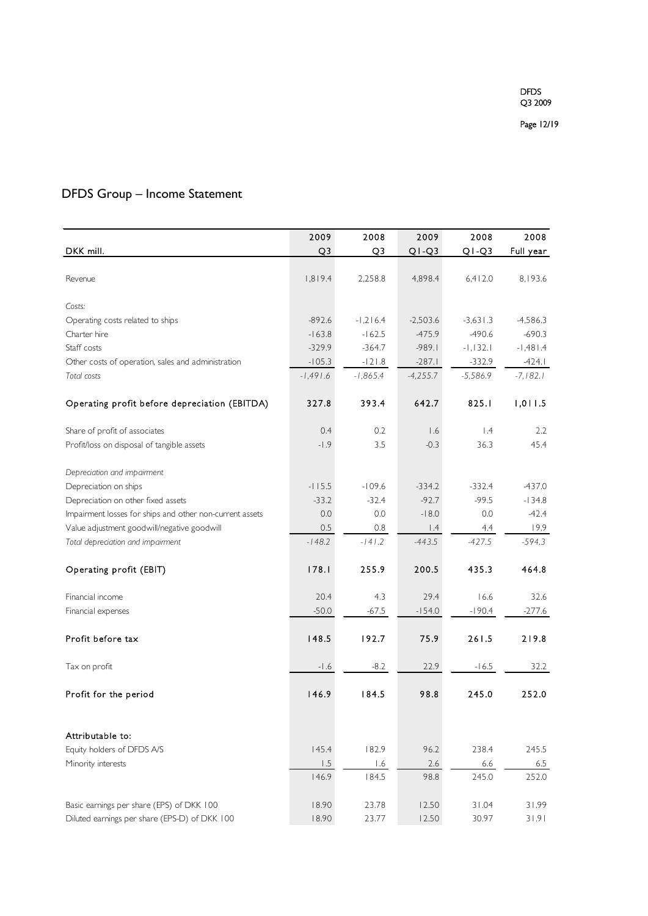### DFDS Group – Income Statement

|                                                          | 2009           | 2008           | 2009                    | 2008       | 2008       |
|----------------------------------------------------------|----------------|----------------|-------------------------|------------|------------|
| DKK mill.                                                | Q <sub>3</sub> | Q <sub>3</sub> | $Q1-Q3$                 | $Q1-Q3$    | Full year  |
|                                                          |                |                |                         |            |            |
| Revenue                                                  | 1,819.4        | 2,258.8        | 4,898.4                 | 6,412.0    | 8,193.6    |
|                                                          |                |                |                         |            |            |
| Costs:                                                   |                |                |                         |            |            |
| Operating costs related to ships                         | $-892.6$       | $-1,216.4$     | $-2,503.6$              | $-3,631.3$ | $-4,586.3$ |
| Charter hire                                             | $-163.8$       | $-162.5$       | $-475.9$                | $-490.6$   | $-690.3$   |
| Staff costs                                              | $-329.9$       | $-364.7$       | $-989.1$                | $-1,132.1$ | $-1,481.4$ |
| Other costs of operation, sales and administration       | $-105.3$       | $-121.8$       | $-287.1$                | $-332.9$   | $-424.1$   |
| Total costs                                              | $-1,491.6$     | $-1,865.4$     | $-4,255.7$              | $-5,586.9$ | $-7,182.1$ |
| Operating profit before depreciation (EBITDA)            | 327.8          | 393.4          | 642.7                   | 825.1      | 1,011.5    |
| Share of profit of associates                            | 0.4            | 0.2            | 1.6                     | $\vert A$  | 2.2        |
| Profit/loss on disposal of tangible assets               | $-1.9$         | 3.5            | $-0.3$                  | 36.3       | 45.4       |
| Depreciation and impairment                              |                |                |                         |            |            |
| Depreciation on ships                                    | $-115.5$       | $-109.6$       | $-334.2$                | $-332.4$   | $-437.0$   |
| Depreciation on other fixed assets                       | $-33.2$        | $-32.4$        | $-92.7$                 | $-99.5$    | $-134.8$   |
| Impairment losses for ships and other non-current assets | 0.0            | 0.0            | $-18.0$                 | 0.0        | $-42.4$    |
| Value adjustment goodwill/negative goodwill              | 0.5            | 0.8            | $\mathsf{I}.\mathsf{4}$ | 4.4        | 19.9       |
| Total depreciation and impairment                        | $-148.2$       | $-141.2$       | $-443.5$                | $-427.5$   | $-594.3$   |
| Operating profit (EBIT)                                  | 178.1          | 255.9          | 200.5                   | 435.3      | 464.8      |
| Financial income                                         | 20.4           | 4.3            | 29.4                    | 16.6       | 32.6       |
| Financial expenses                                       | $-50.0$        | $-67.5$        | $-154.0$                | $-190.4$   | $-277.6$   |
| Profit before tax                                        | 148.5          | 192.7          | 75.9                    | 261.5      | 219.8      |
| Tax on profit                                            | $-1.6$         | $-8.2$         | 22.9                    | $-16.5$    | 32.2       |
| Profit for the period                                    | 146.9          | 184.5          | 98.8                    | 245.0      | 252.0      |
|                                                          |                |                |                         |            |            |
| Attributable to:                                         |                |                |                         |            |            |
| Equity holders of DFDS A/S                               | 145.4          | 182.9          | 96.2                    | 238.4      | 245.5      |
| Minority interests                                       | 1.5            | 1.6            | 2.6                     | 6.6        | $6.5\,$    |
|                                                          | 146.9          | 184.5          | 98.8                    | 245.0      | 252.0      |
| Basic earnings per share (EPS) of DKK 100                | 18.90          | 23.78          | 12.50                   | 31.04      | 31.99      |
| Diluted earnings per share (EPS-D) of DKK 100            | 18.90          | 23.77          | 12.50                   | 30.97      | 31.91      |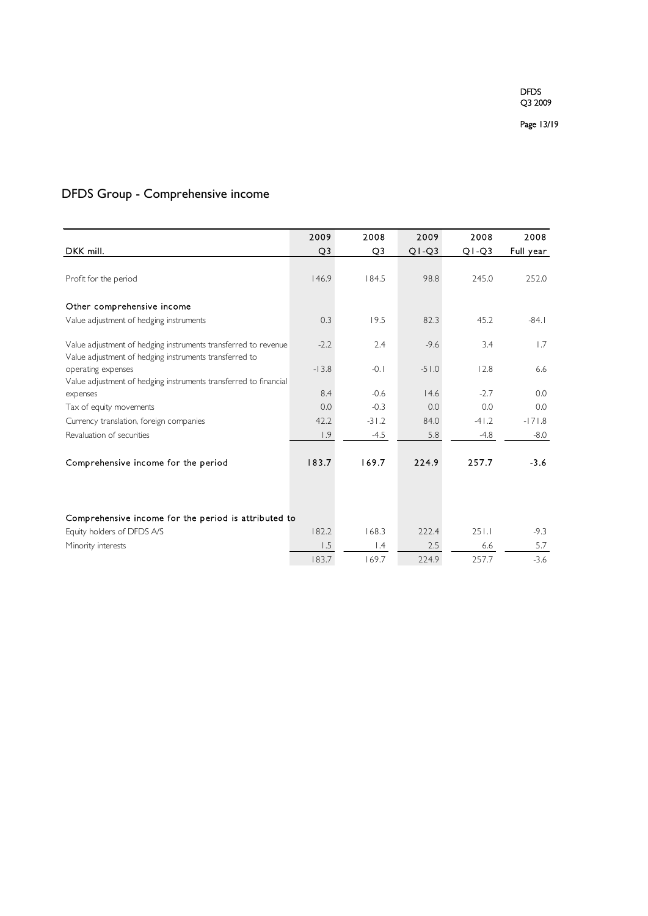### DFDS Group - Comprehensive income

|                                                                  | 2009           | 2008      | 2009    | 2008    | 2008      |
|------------------------------------------------------------------|----------------|-----------|---------|---------|-----------|
| DKK mill.                                                        | Q <sub>3</sub> | Q3        | $Q1-Q3$ | $Q1-Q3$ | Full year |
|                                                                  |                |           |         |         |           |
| Profit for the period                                            | 146.9          | 184.5     | 98.8    | 245.0   | 252.0     |
|                                                                  |                |           |         |         |           |
| Other comprehensive income                                       |                |           |         |         |           |
| Value adjustment of hedging instruments                          | 0.3            | 19.5      | 82.3    | 45.2    | $-84.1$   |
|                                                                  |                |           |         |         |           |
| Value adjustment of hedging instruments transferred to revenue   | $-2.2$         | 2.4       | $-9.6$  | 3.4     | 1.7       |
| Value adjustment of hedging instruments transferred to           |                |           |         |         |           |
| operating expenses                                               | $-13.8$        | $-0.1$    | $-51.0$ | 12.8    | 6.6       |
| Value adjustment of hedging instruments transferred to financial |                |           |         | $-2.7$  |           |
| expenses                                                         | 8.4            | $-0.6$    | 14.6    |         | 0.0       |
| Tax of equity movements                                          | 0.0            | $-0.3$    | 0.0     | 0.0     | 0.0       |
| Currency translation, foreign companies                          | 42.2           | $-31.2$   | 84.0    | $-41.2$ | $-171.8$  |
| Revaluation of securities                                        | 1.9            | $-4.5$    | 5.8     | $-4.8$  | $-8.0$    |
|                                                                  |                |           |         |         |           |
| Comprehensive income for the period                              | 183.7          | 169.7     | 224.9   | 257.7   | $-3.6$    |
|                                                                  |                |           |         |         |           |
|                                                                  |                |           |         |         |           |
|                                                                  |                |           |         |         |           |
| Comprehensive income for the period is attributed to             |                |           |         |         |           |
| Equity holders of DFDS A/S                                       | 182.2          | 168.3     | 222.4   | 251.1   | $-9.3$    |
| Minority interests                                               | 1.5            | $\vert A$ | 2.5     | 6.6     | 5.7       |
|                                                                  | 183.7          | 169.7     | 224.9   | 257.7   | $-3.6$    |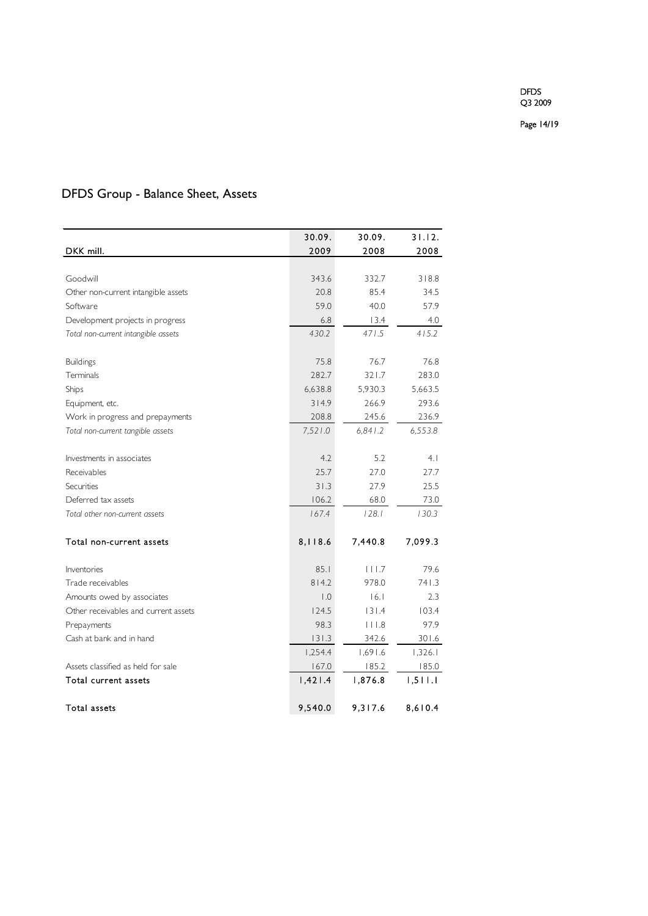Page 14/19

### DFDS Group - Balance Sheet, Assets

|                                                                       | 30.09.           | 30.09.  | 31.12.  |
|-----------------------------------------------------------------------|------------------|---------|---------|
| DKK mill.                                                             | 2009             | 2008    | 2008    |
|                                                                       |                  |         |         |
| Goodwill                                                              | 343.6            | 332.7   | 318.8   |
| Other non-current intangible assets                                   | 20.8             | 85.4    | 34.5    |
| Software                                                              | 59.0             | 40.0    | 57.9    |
| Development projects in progress                                      | 6.8              | 13.4    | 4.0     |
| Total non-current intangible assets                                   | 430.2            | 471.5   | 415.2   |
| <b>Buildings</b>                                                      | 75.8             | 76.7    | 76.8    |
| Terminals                                                             | 282.7            | 321.7   | 283.0   |
| Ships                                                                 | 6,638.8          | 5,930.3 | 5,663.5 |
| Equipment, etc.                                                       | 314.9            | 266.9   | 293.6   |
|                                                                       | 208.8            | 245.6   | 236.9   |
| Work in progress and prepayments<br>Total non-current tangible assets | 7,521.0          | 6,841.2 | 6,553.8 |
|                                                                       |                  |         |         |
| Investments in associates                                             | 4.2              | 5.2     | 4.1     |
| Receivables                                                           | 25.7             | 27.0    | 27.7    |
| Securities                                                            | 31.3             | 27.9    | 25.5    |
| Deferred tax assets                                                   | 106.2            | 68.0    | 73.0    |
| Total other non-current assets                                        | 167.4            | 128.1   | 130.3   |
| Total non-current assets                                              | 8,118.6          | 7,440.8 | 7,099.3 |
| Inventories                                                           | 85.1             | 111.7   | 79.6    |
| Trade receivables                                                     | 814.2            | 978.0   | 741.3   |
| Amounts owed by associates                                            | $\overline{0}$ . | 16.1    | 2.3     |
| Other receivables and current assets                                  | 124.5            | 131.4   | 103.4   |
| Prepayments                                                           | 98.3             | 111.8   | 97.9    |
| Cash at bank and in hand                                              | 131.3            | 342.6   | 301.6   |
|                                                                       | 1,254.4          | 1,691.6 | 1,326.1 |
| Assets classified as held for sale                                    | 167.0            | 185.2   | 185.0   |
| Total current assets                                                  | 1,421.4          | 1,876.8 | 1,511.1 |
| Total assets                                                          | 9,540.0          | 9,317.6 | 8,610.4 |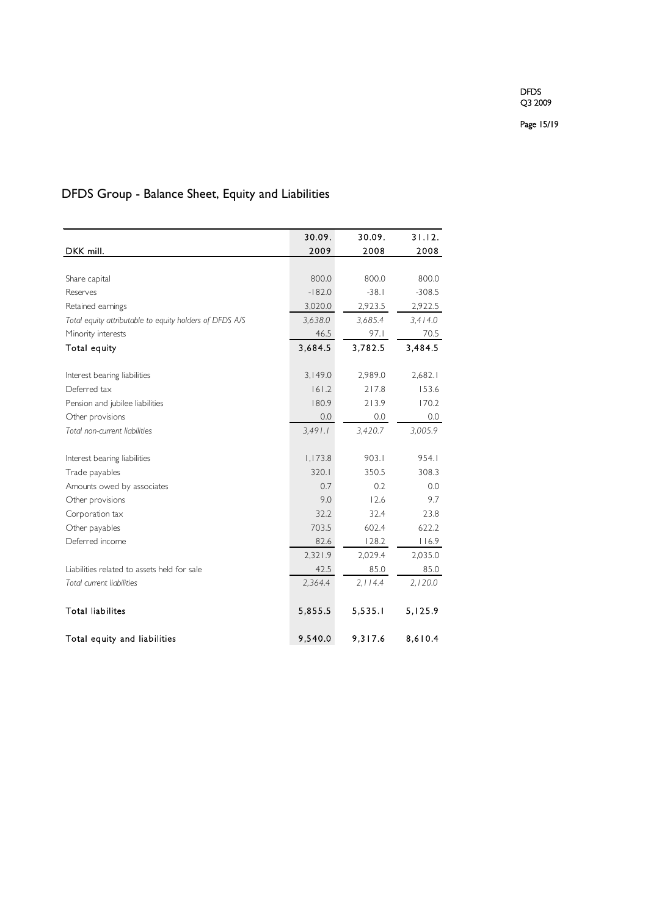Page 15/19

## DFDS Group - Balance Sheet, Equity and Liabilities

|                                                         | 30.09.   | 30.09.   | 31.12.   |
|---------------------------------------------------------|----------|----------|----------|
| DKK mill.                                               | 2009     | 2008     | 2008     |
|                                                         |          |          |          |
| Share capital                                           | 800.0    | 800.0    | 800.0    |
| Reserves                                                | $-182.0$ | $-38.1$  | $-308.5$ |
| Retained earnings                                       | 3,020.0  | 2,923.5  | 2,922.5  |
| Total equity attributable to equity holders of DFDS A/S | 3,638.0  | 3,685.4  | 3,414.0  |
| Minority interests                                      | 46.5     | 97.1     | 70.5     |
| Total equity                                            | 3,684.5  | 3,782.5  | 3,484.5  |
|                                                         |          |          |          |
| Interest bearing liabilities                            | 3,149.0  | 2,989.0  | 2,682.1  |
| Deferred tax                                            | 161.2    | 217.8    | 153.6    |
| Pension and jubilee liabilities                         | 180.9    | 213.9    | 170.2    |
| Other provisions                                        | 0.0      | 0.0      | 0.0      |
| Total non-current liabilities                           | 3,491.1  | 3,420.7  | 3,005.9  |
|                                                         |          |          |          |
| Interest bearing liabilities                            | 1,173.8  | 903.1    | 954.1    |
| Trade payables                                          | 320.1    | 350.5    | 308.3    |
| Amounts owed by associates                              | 0.7      | 0.2      | 0.0      |
| Other provisions                                        | 9.0      | 12.6     | 9.7      |
| Corporation tax                                         | 32.2     | 32.4     | 23.8     |
| Other payables                                          | 703.5    | 602.4    | 622.2    |
| Deferred income                                         | 82.6     | 128.2    | 116.9    |
|                                                         | 2,321.9  | 2,029.4  | 2,035.0  |
| Liabilities related to assets held for sale             | 42.5     | 85.0     | 85.0     |
| Total current liabilities                               | 2,364.4  | 2, 114.4 | 2,120.0  |
| <b>Total liabilites</b>                                 | 5,855.5  | 5,535.1  | 5,125.9  |
| Total equity and liabilities                            | 9,540.0  | 9,317.6  | 8,610.4  |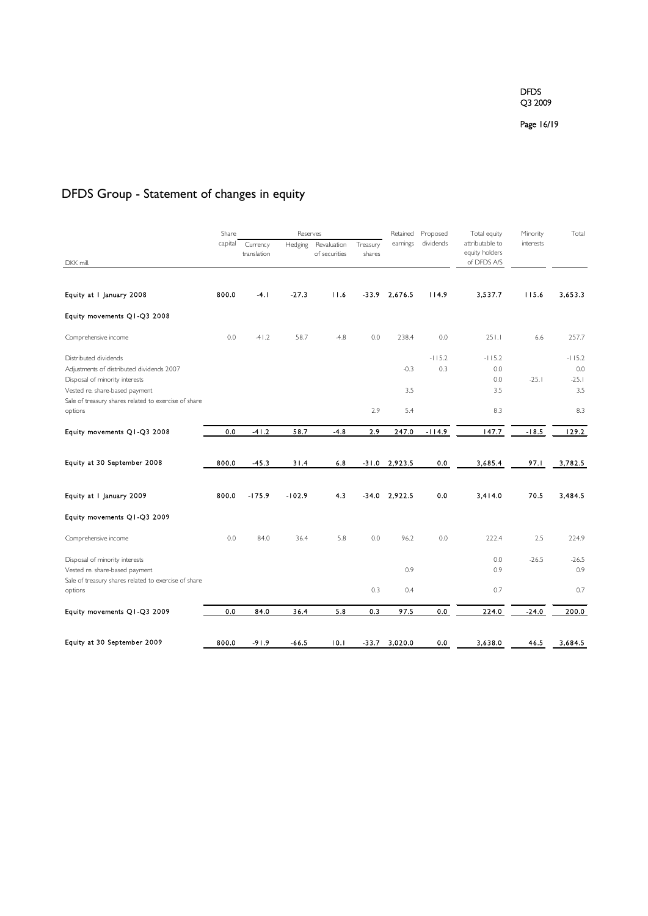Page 16/19

## DFDS Group - Statement of changes in equity

|                                                                  | Share   |                         | Reserves |                              |                    | Retained        | Proposed  | Total equity                      | Minority  | Total          |
|------------------------------------------------------------------|---------|-------------------------|----------|------------------------------|--------------------|-----------------|-----------|-----------------------------------|-----------|----------------|
|                                                                  | capital | Currency<br>translation | Hedging  | Revaluation<br>of securities | Treasury<br>shares | earnings        | dividends | attributable to<br>equity holders | interests |                |
| DKK mill.                                                        |         |                         |          |                              |                    |                 |           | of DFDS A/S                       |           |                |
| Equity at I January 2008                                         | 800.0   | $-4.1$                  | $-27.3$  | 11.6                         | $-33.9$            | 2,676.5         | 114.9     | 3.537.7                           | 115.6     | 3,653.3        |
| Equity movements Q1-Q3 2008                                      |         |                         |          |                              |                    |                 |           |                                   |           |                |
| Comprehensive income                                             | 0.0     | $-41.2$                 | 58.7     | $-4.8$                       | 0.0                | 238.4           | 0.0       | 251.1                             | 6.6       | 257.7          |
| Distributed dividends                                            |         |                         |          |                              |                    |                 | $-115.2$  | $-115.2$                          |           | $-115.2$       |
| Adjustments of distributed dividends 2007                        |         |                         |          |                              |                    | $-0.3$          | 0.3       | 0.0                               |           | 0.0            |
| Disposal of minority interests<br>Vested re. share-based payment |         |                         |          |                              |                    | 3.5             |           | 0.0<br>3.5                        | $-25.1$   | $-25.1$<br>3.5 |
| Sale of treasury shares related to exercise of share             |         |                         |          |                              |                    |                 |           |                                   |           |                |
| options                                                          |         |                         |          |                              | 2.9                | 5.4             |           | 8.3                               |           | 8.3            |
| Equity movements Q1-Q3 2008                                      | 0.0     | $-41.2$                 | 58.7     | $-4.8$                       | 2.9                | 247.0           | $-114.9$  | 147.7                             | $-18.5$   | 129.2          |
| Equity at 30 September 2008                                      | 800.0   | $-45.3$                 | 31.4     | 6.8                          |                    | $-31.0$ 2,923.5 | 0.0       | 3,685.4                           | 97.1      | 3,782.5        |
| Equity at I January 2009                                         | 800.0   | $-175.9$                | $-102.9$ | 4.3                          |                    | $-34.0$ 2,922.5 | 0.0       | 3.414.0                           | 70.5      | 3484.5         |
| Equity movements Q1-Q3 2009                                      |         |                         |          |                              |                    |                 |           |                                   |           |                |
| Comprehensive income                                             | 0.0     | 84.0                    | 36.4     | 5.8                          | 0.0                | 96.2            | 0.0       | 222.4                             | 2.5       | 224.9          |
| Disposal of minority interests                                   |         |                         |          |                              |                    |                 |           | 0.0                               | $-26.5$   | $-26.5$        |
| Vested re. share-based payment                                   |         |                         |          |                              |                    | 0.9             |           | 0.9                               |           | 0.9            |
| Sale of treasury shares related to exercise of share             |         |                         |          |                              |                    |                 |           |                                   |           |                |
| options                                                          |         |                         |          |                              | 0.3                | 0.4             |           | 0.7                               |           | 0.7            |
| Equity movements Q1-Q3 2009                                      | 0.0     | 84.0                    | 36.4     | 5.8                          | 0.3                | 97.5            | 0.0       | 224.0                             | $-24.0$   | 200.0          |
| Equity at 30 September 2009                                      | 800.0   | $-91.9$                 | $-66.5$  | 10.1                         | -33.7              | 3,020.0         | 0.0       | 3,638.0                           | 46.5      | 3,684.5        |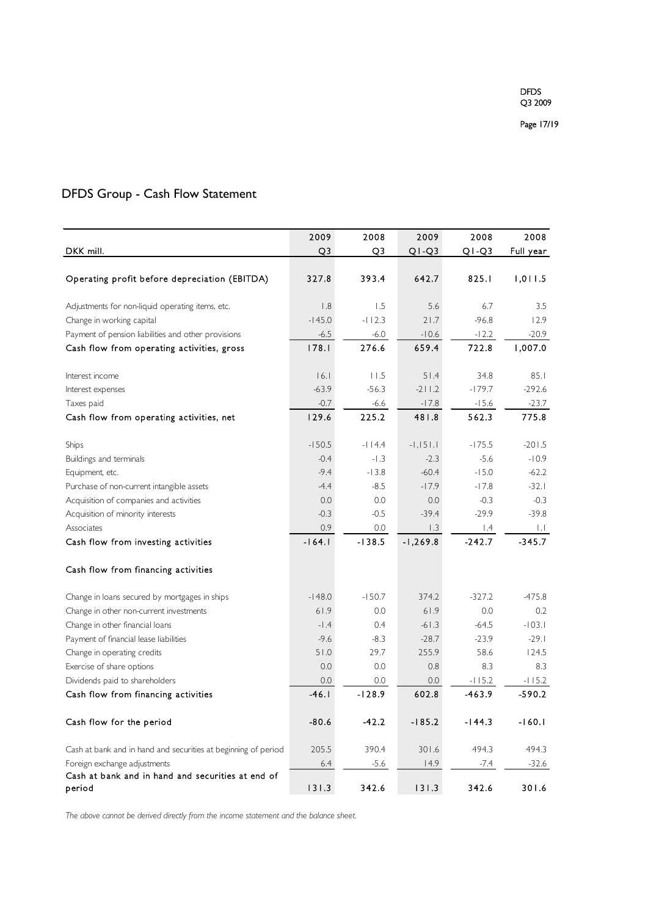### DFDS Group - Cash Flow Statement

|                                                                | 2009              | 2008     | 2009       | 2008      | 2008         |
|----------------------------------------------------------------|-------------------|----------|------------|-----------|--------------|
| DKK mill.                                                      | Q3                | Q3       | $Q1-Q3$    | $Q1-Q3$   | Full year    |
|                                                                |                   |          |            |           |              |
| Operating profit before depreciation (EBITDA)                  | 327.8             | 393.4    | 642.7      | 825.1     | 1,011.5      |
|                                                                |                   |          |            |           |              |
| Adjustments for non-liquid operating items, etc.               | 1.8               | 1.5      | 5.6        | 6.7       | 3.5          |
| Change in working capital                                      | $-145.0$          | $-112.3$ | 21.7       | $-96.8$   | 12.9         |
| Payment of pension liabilities and other provisions            | $-6.5$            | $-6.0$   | $-10.6$    | $-12.2$   | $-20.9$      |
| Cash flow from operating activities, gross                     | 178.1             | 276.6    | 659.4      | 722.8     | 1,007.0      |
|                                                                | 16.1              | 11.5     | 51.4       | 34.8      | 85.1         |
| Interest income                                                |                   |          |            | $-179.7$  | $-292.6$     |
| Interest expenses                                              | $-63.9$<br>$-0.7$ | $-56.3$  | $-211.2$   |           |              |
| Taxes paid                                                     |                   | $-6.6$   | $-17.8$    | $-15.6$   | $-23.7$      |
| Cash flow from operating activities, net                       | 129.6             | 225.2    | 481.8      | 562.3     | 775.8        |
| Ships                                                          | $-150.5$          | $-114.4$ | $-1,151.1$ | $-175.5$  | $-201.5$     |
| Buildings and terminals                                        | $-0.4$            | $-1.3$   | $-2.3$     | $-5.6$    | $-10.9$      |
| Equipment, etc.                                                | $-9.4$            | $-13.8$  | $-60.4$    | $-15.0$   | $-62.2$      |
| Purchase of non-current intangible assets                      | $-4.4$            | $-8.5$   | $-17.9$    | $-17.8$   | $-32.1$      |
| Acquisition of companies and activities                        | 0.0               | 0.0      | 0.0        | $-0.3$    | $-0.3$       |
| Acquisition of minority interests                              | $-0.3$            | $-0.5$   | $-39.4$    | $-29.9$   | $-39.8$      |
| Associates                                                     | 0.9               | 0.0      | 1.3        | $\vert A$ | $\mathbf{L}$ |
| Cash flow from investing activities                            | $-164.1$          | $-138.5$ | $-1,269.8$ | $-242.7$  | $-345.7$     |
|                                                                |                   |          |            |           |              |
| Cash flow from financing activities                            |                   |          |            |           |              |
| Change in loans secured by mortgages in ships                  | $-148.0$          | $-150.7$ | 374.2      | $-327.2$  | $-475.8$     |
| Change in other non-current investments                        | 61.9              | 0.0      | 61.9       | 0.0       | 0.2          |
| Change in other financial loans                                | $-1.4$            | 0.4      | $-61.3$    | $-64.5$   | $-103.1$     |
| Payment of financial lease liabilities                         | $-9.6$            | $-8.3$   | $-28.7$    | $-23.9$   | $-29.1$      |
| Change in operating credits                                    | 51.0              | 29.7     | 255.9      | 58.6      | 124.5        |
| Exercise of share options                                      | 0.0               | 0.0      | 0.8        | 8.3       | 8.3          |
| Dividends paid to shareholders                                 | 0.0               | 0.0      | 0.0        | $-115.2$  | $-115.2$     |
| Cash flow from financing activities                            | $-46.1$           | $-128.9$ | 602.8      | $-463.9$  | -590.2       |
|                                                                |                   |          |            |           |              |
| Cash flow for the period                                       | $-80.6$           | $-42.2$  | $-185.2$   | $-144.3$  | $-160.1$     |
| Cash at bank and in hand and securities at beginning of period | 205.5             | 390.4    | 301.6      | 494.3     | 494.3        |
| Foreign exchange adjustments                                   | 6.4               | $-5.6$   | 14.9       | $-7.4$    | $-32.6$      |
| Cash at bank and in hand and securities at end of              |                   |          |            |           |              |
| period                                                         | 131.3             | 342.6    | 131.3      | 342.6     | 301.6        |

*The above cannot be derived directly from the income statement and the balance sheet.*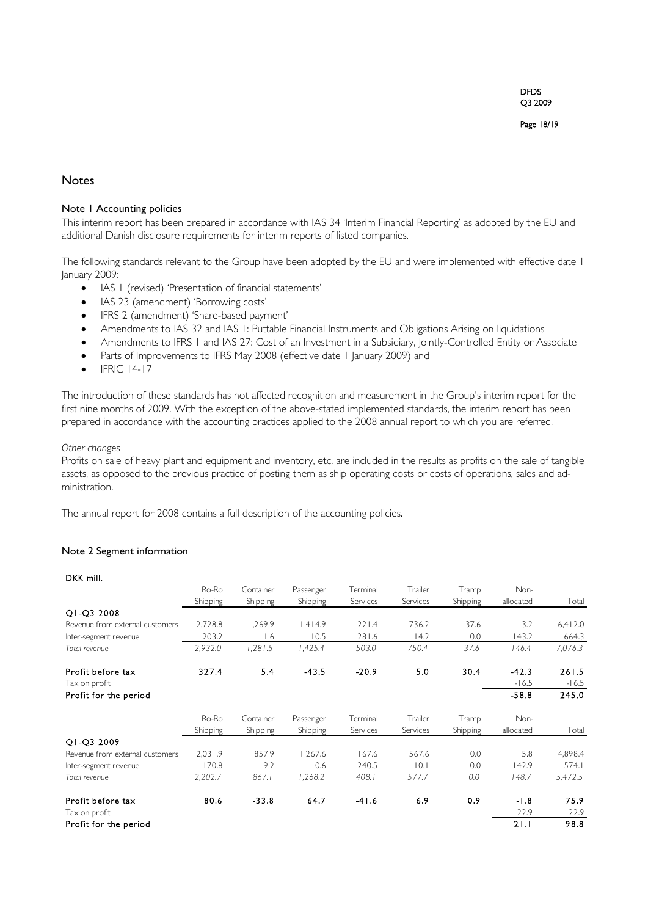#### **Notes**

#### Note 1 Accounting policies

This interim report has been prepared in accordance with IAS 34 'Interim Financial Reporting' as adopted by the EU and additional Danish disclosure requirements for interim reports of listed companies.

The following standards relevant to the Group have been adopted by the EU and were implemented with effective date 1 January 2009:

- IAS 1 (revised) 'Presentation of financial statements'
- IAS 23 (amendment) 'Borrowing costs'
- IFRS 2 (amendment) 'Share-based payment'
- Amendments to IAS 32 and IAS 1: Puttable Financial Instruments and Obligations Arising on liquidations
- Amendments to IFRS 1 and IAS 27: Cost of an Investment in a Subsidiary, Jointly-Controlled Entity or Associate
- Parts of Improvements to IFRS May 2008 (effective date 1 January 2009) and
- IFRIC 14-17

The introduction of these standards has not affected recognition and measurement in the Group's interim report for the first nine months of 2009. With the exception of the above-stated implemented standards, the interim report has been prepared in accordance with the accounting practices applied to the 2008 annual report to which you are referred.

#### *Other changes*

Profits on sale of heavy plant and equipment and inventory, etc. are included in the results as profits on the sale of tangible assets, as opposed to the previous practice of posting them as ship operating costs or costs of operations, sales and administration.

The annual report for 2008 contains a full description of the accounting policies.

#### Note 2 Segment information

#### DKK mill.

|                                 | Ro-Ro           | Container | Passenger | Terminal | Trailer  | Tramp    | Non-      |         |
|---------------------------------|-----------------|-----------|-----------|----------|----------|----------|-----------|---------|
|                                 | <b>Shipping</b> | Shipping  | Shipping  | Services | Services | Shipping | allocated | Total   |
| Q1-Q3 2008                      |                 |           |           |          |          |          |           |         |
| Revenue from external customers | 2,728.8         | 1,269.9   | 1,414.9   | 221.4    | 736.2    | 37.6     | 3.2       | 6,412.0 |
| Inter-segment revenue           | 203.2           | 11.6      | 10.5      | 281.6    | 14.2     | 0.0      | 143.2     | 664.3   |
| Total revenue                   | 2,932.0         | 1,281.5   | 1,425.4   | 503.0    | 750.4    | 37.6     | 146.4     | 7,076.3 |
| Profit before tax               | 327.4           | 5.4       | $-43.5$   | $-20.9$  | 5.0      | 30.4     | $-42.3$   | 261.5   |
| Tax on profit                   |                 |           |           |          |          |          | $-16.5$   | $-16.5$ |
| Profit for the period           |                 |           |           |          |          |          | $-58.8$   | 245.0   |
|                                 | Ro-Ro           | Container | Passenger | Terminal | Trailer  | Tramp    | Non-      |         |
|                                 | Shipping        | Shipping  | Shipping  | Services | Services | Shipping | allocated | Total   |
| Q1-Q3 2009                      |                 |           |           |          |          |          |           |         |
| Revenue from external customers | 2,031.9         | 857.9     | 1,267.6   | 167.6    | 567.6    | 0.0      | 5.8       | 4,898.4 |
| Inter-segment revenue           | 170.8           | 9.2       | 0.6       | 240.5    | 10.1     | 0.0      | 142.9     | 574.I   |
| Total revenue                   | 2,202.7         | 867.1     | 1,268.2   | 408.1    | 577.7    | 0.0      | 148.7     | 5,472.5 |
| Profit before tax               | 80.6            | $-33.8$   | 64.7      | $-41.6$  | 6.9      | 0.9      | $-1.8$    | 75.9    |
| Tax on profit                   |                 |           |           |          |          |          | 22.9      | 22.9    |
| Profit for the period           |                 |           |           |          |          |          | 21.1      | 98.8    |